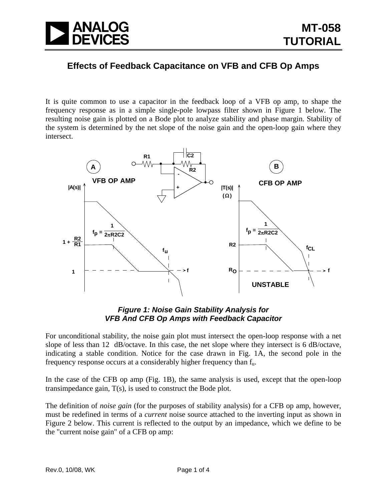

## **Effects of Feedback Capacitance on VFB and CFB Op Amps**

It is quite common to use a capacitor in the feedback loop of a VFB op amp, to shape the frequency response as in a simple single-pole lowpass filter shown in Figure 1 below. The resulting noise gain is plotted on a Bode plot to analyze stability and phase margin. Stability of the system is determined by the net slope of the noise gain and the open-loop gain where they intersect.



## *Figure 1: Noise Gain Stability Analysis for VFB And CFB Op Amps with Feedback Capacitor*

For unconditional stability, the noise gain plot must intersect the open-loop response with a net slope of less than 12 dB/octave. In this case, the net slope where they intersect is 6 dB/octave, indicating a stable condition. Notice for the case drawn in Fig. 1A, the second pole in the frequency response occurs at a considerably higher frequency than fu.

In the case of the CFB op amp (Fig. 1B), the same analysis is used, except that the open-loop transimpedance gain, T(s), is used to construct the Bode plot.

The definition of *noise gain* (for the purposes of stability analysis) for a CFB op amp, however, must be redefined in terms of a *current* noise source attached to the inverting input as shown in Figure 2 below. This current is reflected to the output by an impedance, which we define to be the "current noise gain" of a CFB op amp: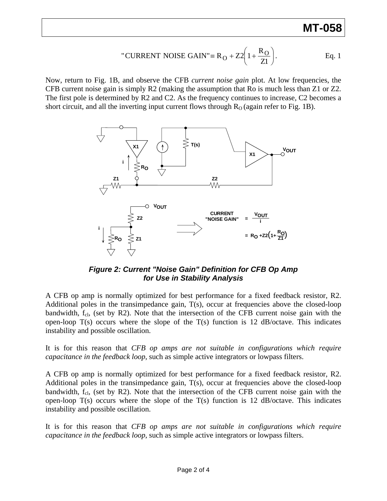## **MT-058**

"CURRENT NOISE GAIN" = 
$$
R_O + Z2\left(1 + \frac{R_O}{Z1}\right)
$$
. Eq. 1

Now, return to Fig. 1B, and observe the CFB *current noise gain* plot. At low frequencies, the CFB current noise gain is simply R2 (making the assumption that Ro is much less than Z1 or Z2. The first pole is determined by R2 and C2. As the frequency continues to increase, C2 becomes a short circuit, and all the inverting input current flows through  $R<sub>O</sub>$  (again refer to Fig. 1B).



*Figure 2: Current "Noise Gain" Definition for CFB Op Amp for Use in Stability Analysis* 

A CFB op amp is normally optimized for best performance for a fixed feedback resistor, R2. Additional poles in the transimpedance gain, T(s), occur at frequencies above the closed-loop bandwidth,  $f_{\text{cl}}$ , (set by R2). Note that the intersection of the CFB current noise gain with the open-loop  $T(s)$  occurs where the slope of the  $T(s)$  function is 12 dB/octave. This indicates instability and possible oscillation.

It is for this reason that *CFB op amps are not suitable in configurations which require capacitance in the feedback loop*, such as simple active integrators or lowpass filters.

A CFB op amp is normally optimized for best performance for a fixed feedback resistor, R2. Additional poles in the transimpedance gain, T(s), occur at frequencies above the closed-loop bandwidth,  $f_{\text{cl}}$ , (set by R2). Note that the intersection of the CFB current noise gain with the open-loop  $T(s)$  occurs where the slope of the  $T(s)$  function is 12 dB/octave. This indicates instability and possible oscillation.

It is for this reason that *CFB op amps are not suitable in configurations which require capacitance in the feedback loop*, such as simple active integrators or lowpass filters.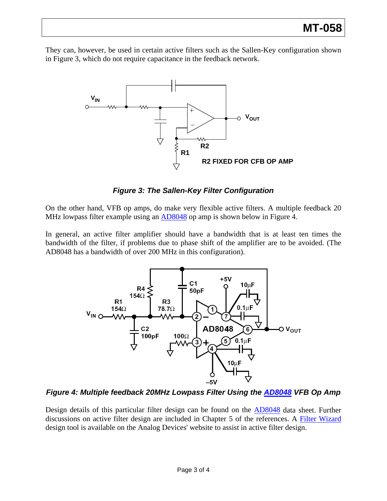They can, however, be used in certain active filters such as the Sallen-Key configuration shown in Figure 3, which do not require capacitance in the feedback network.



*Figure 3: The Sallen-Key Filter Configuration* 

On the other hand, VFB op amps, do make very flexible active filters. A multiple feedback 20 MHz lowpass filter example using an  $AD8048$  op amp is shown below in Figure 4.

In general, an active filter amplifier should have a bandwidth that is at least ten times the bandwidth of the filter, if problems due to phase shift of the amplifier are to be avoided. (The AD8048 has a bandwidth of over 200 MHz in this configuration).



*Figure 4: Multiple feedback 20MHz Lowpass Filter Using the [AD8048](http://www.analog.com/en/amplifiers-and-comparators/operational-amplifiers-op-amps/ad8048/products/product.html) VFB Op Amp* 

Design details of this particular filter design can be found on the [AD8048](http://www.analog.com/en/amplifiers-and-comparators/operational-amplifiers-op-amps/ad8048/products/product.html) data sheet. Further discussions on active filter design are included in Chapter 5 of the references. A [Filter Wizard](http://www.analog.com/en/design-tools/dt-input-stage-filter-design/design-center/dt-input-stage-filter-design/Filter_Wizard/resources/fca.html) design tool is available on the Analog Devices' website to assist in active filter design.